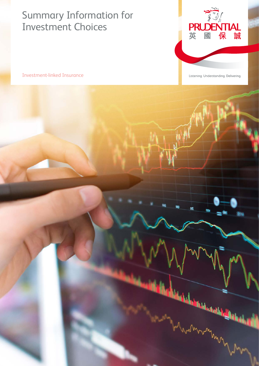# Summary Information for Investment Choices



Investment-linked Insurance

Listening. Understanding. Delivering.

od

hull

m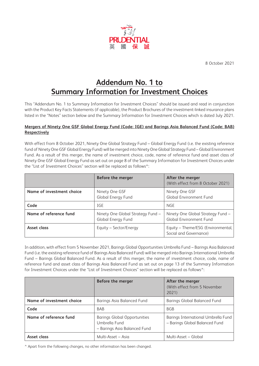

8 October 2021

# **Addendum No. 1 to Summary Information for Investment Choices**

This "Addendum No. 1 to Summary Information for Investment Choices" should be issued and read in conjunction with the Product Key Facts Statements (if applicable), the Product Brochures of the investment-linked insurance plans listed in the "Notes" section below and the Summary Information for Investment Choices which is dated July 2021.

#### **Mergers of Ninety One GSF Global Energy Fund (Code: IGE) and Barings Asia Balanced Fund (Code: BAB) Respectively**

With effect from 8 October 2021, Ninety One Global Strategy Fund – Global Energy Fund (i.e. the existing reference fund of Ninety One GSF Global Energy Fund) will be merged into Ninety One Global Strategy Fund – Global Environment Fund. As a result of this merger, the name of investment choice, code, name of reference fund and asset class of Ninety One GSF Global Energy Fund as set out on page 8 of the Summary Information for Investment Choices under the "List of Investment Choices" section will be replaced as follows^:

|                           | Before the merger                                       | After the merger<br>(With effect from 8 October 2021)        |
|---------------------------|---------------------------------------------------------|--------------------------------------------------------------|
| Name of investment choice | Ninety One GSF<br>Global Energy Fund                    | Ninety One GSF<br><b>Global Environment Fund</b>             |
| Code                      | IGE                                                     | <b>NGE</b>                                                   |
| Name of reference fund    | Ninety One Global Strategy Fund -<br>Global Energy Fund | Ninety One Global Strategy Fund -<br>Global Environment Fund |
| Asset class               | Equity – Sector/Energy                                  | Equity - Theme/ESG (Environmental,<br>Social and Governance) |

In addition, with effect from 5 November 2021, Barings Global Opportunities Umbrella Fund – Barings Asia Balanced Fund (i.e. the existing reference fund of Barings Asia Balanced Fund) will be merged into Barings International Umbrella Fund – Barings Global Balanced Fund. As a result of this merger, the name of investment choice, code, name of reference fund and asset class of Barings Asia Balanced Fund as set out on page 13 of the Summary Information for Investment Choices under the "List of Investment Choices" section will be replaced as follows^:

|                           | Before the merger                                                             | After the merger<br>(With effect from 5 November<br>2021              |
|---------------------------|-------------------------------------------------------------------------------|-----------------------------------------------------------------------|
| Name of investment choice | Barings Asia Balanced Fund                                                    | Barings Global Balanced Fund                                          |
| Code                      | <b>BAB</b>                                                                    | <b>BGB</b>                                                            |
| Name of reference fund    | Barings Global Opportunities<br>Umbrella Fund<br>- Barings Asia Balanced Fund | Barings International Umbrella Fund<br>- Barings Global Balanced Fund |
| Asset class               | Multi-Asset - Asia                                                            | Multi-Asset - Global                                                  |

^ Apart from the following changes, no other information has been changed.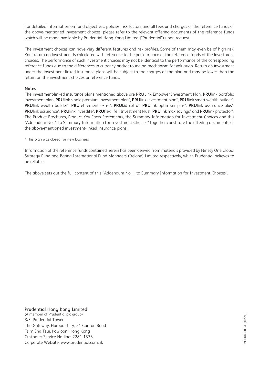For detailed information on fund objectives, policies, risk factors and all fees and charges of the reference funds of the above-mentioned investment choices, please refer to the relevant offering documents of the reference funds which will be made available by Prudential Hong Kong Limited ("Prudential") upon request.

The investment choices can have very different features and risk profiles. Some of them may even be of high risk. Your return on investment is calculated with reference to the performance of the reference funds of the investment choices. The performance of such investment choices may not be identical to the performance of the corresponding reference funds due to the differences in currency and/or rounding mechanism for valuation. Return on investment under the investment-linked insurance plans will be subject to the charges of the plan and may be lower than the return on the investment choices or reference funds.

#### **Notes**

The investment-linked insurance plans mentioned above are **PRU**Link Empower Investment Plan, **PRU**link portfolio investment plan, **PRU**link single premium investment plan\*, **PRU**link investment plan\*, **PRU**link smart wealth builder\*, **PRU**link wealth builder\*, **PRU**retirement extra\*, **PRU**kid extra\*, **PRU**link optimiser plus\*, **PRU**link assurance plus\*, **PRU**link assurance\*, **PRU**link investlife\*, **PRU**flexilife\*, Investment Plus\*, **PRU**link maxisavings\* and **PRU**link protector\*. The Product Brochures, Product Key Facts Statements, the Summary Information for Investment Choices and this "Addendum No. 1 to Summary Information for Investment Choices" together constitute the offering documents of the above-mentioned investment-linked insurance plans.

\* This plan was closed for new business.

Information of the reference funds contained herein has been derived from materials provided by Ninety One Global Strategy Fund and Baring International Fund Managers (Ireland) Limited respectively, which Prudential believes to be reliable.

The above sets out the full content of this "Addendum No. 1 to Summary Information for Investment Choices".

Prudential Hong Kong Limited (A member of Prudential plc group) 8/F, Prudential Tower The Gateway, Harbour City, 21 Canton Road Tsim Sha Tsui, Kowloon, Hong Kong Customer Service Hotline: 2281 1333 Corporate Website: [www.prudential.com.hk](https://www.prudential.com.hk/en/index.html)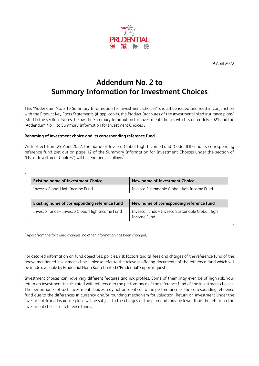

29 April 2022

"

# **Addendum No. 2 to Summary Information for Investment Choices**

This "Addendum No. 2 to Summary Information for Investment Choices" should be issued and read in conjunction with the Product Key Facts Statements (if applicable), the Product Brochures of the investment-linked insurance plans# listed in the section "Notes" below, the Summary Information for Investment Choices which is dated July 2021 and the "Addendum No. 1 to Summary Information for Investment Choices".

#### **Renaming of investment choice and its corresponding reference fund**

With effect from 29 April 2022, the name of Invesco Global High Income Fund (Code: IHI) and its corresponding reference fund (set out on page 12 of the Summary Information for Investment Choices under the section of "List of Investment Choices") will be renamed as follows $\hat{\cdot}$ :

| <b>Existing name of Investment Choice</b>       | New name of Investment Choice                   |
|-------------------------------------------------|-------------------------------------------------|
| Invesco Global High Income Fund                 | Invesco Sustainable Global High Income Fund     |
|                                                 |                                                 |
| Existing name of corresponding reference fund   | New name of corresponding reference fund        |
| Invesco Funds - Invesco Global High Income Fund | Invesco Funds - Invesco Sustainable Global High |
|                                                 | Income Fund                                     |

 $\hat{\;\;}$  Apart from the following changes, no other information has been changed.

For detailed information on fund objectives, policies, risk factors and all fees and charges of the reference fund of the above-mentioned investment choice, please refer to the relevant offering documents of the reference fund which will be made available by Prudential Hong Kong Limited ("Prudential") upon request.

Investment choices can have very different features and risk profiles. Some of them may even be of high risk. Your return on investment is calculated with reference to the performance of the reference fund of the investment choices. The performance of such investment choices may not be identical to the performance of the corresponding reference fund due to the differences in currency and/or rounding mechanism for valuation. Return on investment under the investment-linked insurance plans will be subject to the charges of the plan and may be lower than the return on the investment choices or reference funds.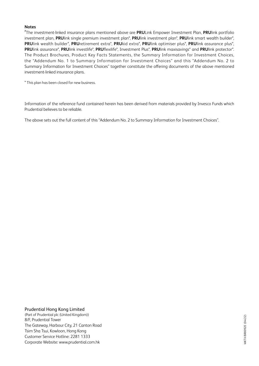#### **Notes**

# The investment-linked insurance plans mentioned above are **PRU**Link Empower Investment Plan, **PRU**link portfolio investment plan, **PRU**link single premium investment plan\*, **PRU**link investment plan\*, **PRU**link smart wealth builder\*, **PRU**link wealth builder\*, **PRU**retirement extra\*, **PRU**kid extra\*, **PRU**link optimiser plus\*, **PRU**link assurance plus\*, **PRU**link assurance\*, **PRU**link investlife\*, **PRU**flexilife\*, Investment Plus\*, **PRU**link maxisavings\* and **PRU**link protector\*. The Product Brochures, Product Key Facts Statements, the Summary Information for Investment Choices, the "Addendum No. 1 to Summary Information for Investment Choices" and this "Addendum No. 2 to Summary Information for Investment Choices" together constitute the offering documents of the above mentioned investment-linked insurance plans.

\* This plan has been closed for new business.

Information of the reference fund contained herein has been derived from materials provided by Invesco Funds which Prudential believes to be reliable.

The above sets out the full content of this "Addendum No. 2 to Summary Information for Investment Choices".

#### 8/F, Prudential Tower The Gateway, Harbour City, 21 Canton Road Tsim Sha Tsui, Kowloon, Hong Kong Prudential Hong Kong Limited (Part of Prudential plc (United Kingdom))

Customer Service Hotline: 2281 1333 Corporate Website: [www.prudential.com.hk](https://www.prudential.com.hk/en/index.html)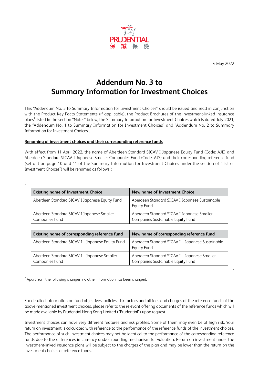

4 May 2022

"

# **Addendum No. 3 to Summary Information for Investment Choices**

This "Addendum No. 3 to Summary Information for Investment Choices" should be issued and read in conjunction with the Product Key Facts Statements (if applicable), the Product Brochures of the investment-linked insurance plans<sup>#</sup> listed in the section "Notes" below, the Summary Information for Investment Choices which is dated July 2021, the "Addendum No. 1 to Summary Information for Investment Choices" and "Addendum No. 2 to Summary Information for Investment Choices".

#### **Renaming of investment choices and their corresponding reference funds**

 $"$ 

With effect from 11 April 2022, the name of Aberdeen Standard SICAV I Japanese Equity Fund (Code: AJE) and Aberdeen Standard SICAV I Japanese Smaller Companies Fund (Code: AJS) and their corresponding reference fund (set out on page 10 and 11 of the Summary Information for Investment Choices under the section of "List of Investment Choices") will be renamed as follows $\hat{\cdot}$ :

| <b>Existing name of Investment Choice</b>                    | New name of Investment Choice                                                   |
|--------------------------------------------------------------|---------------------------------------------------------------------------------|
| Aberdeen Standard SICAV I Japanese Equity Fund               | Aberdeen Standard SICAV I Japanese Sustainable<br><b>Equity Fund</b>            |
| Aberdeen Standard SICAV I Japanese Smaller<br>Companies Fund | Aberdeen Standard SICAV I Japanese Smaller<br>Companies Sustainable Equity Fund |

| Existing name of corresponding reference fund                  | New name of corresponding reference fund                                          |
|----------------------------------------------------------------|-----------------------------------------------------------------------------------|
| Aberdeen Standard SICAV I - Japanese Equity Fund               | Aberdeen Standard SICAV I - Japanese Sustainable<br><b>Equity Fund</b>            |
| Aberdeen Standard SICAV I - Japanese Smaller<br>Companies Fund | Aberdeen Standard SICAV I - Japanese Smaller<br>Companies Sustainable Equity Fund |

 $\hat{\;\;}$  Apart from the following changes, no other information has been changed.

For detailed information on fund objectives, policies, risk factors and all fees and charges of the reference funds of the above-mentioned investment choices, please refer to the relevant offering documents of the reference funds which will be made available by Prudential Hong Kong Limited ("Prudential") upon request.

Investment choices can have very different features and risk profiles. Some of them may even be of high risk. Your return on investment is calculated with reference to the performance of the reference funds of the investment choices. The performance of such investment choices may not be identical to the performance of the corresponding reference funds due to the differences in currency and/or rounding mechanism for valuation. Return on investment under the investment-linked insurance plans will be subject to the charges of the plan and may be lower than the return on the investment choices or reference funds.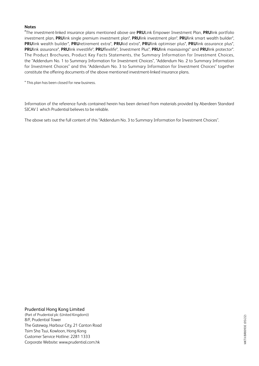#### **Notes**

# The investment-linked insurance plans mentioned above are **PRU**Link Empower Investment Plan, **PRU**link portfolio investment plan, **PRU**link single premium investment plan\*, **PRU**link investment plan\*, **PRU**link smart wealth builder\*, **PRU**link wealth builder\*, **PRU**retirement extra\*, **PRU**kid extra\*, **PRU**link optimiser plus\*, **PRU**link assurance plus\*, **PRU**link assurance\*, **PRU**link investlife\*, **PRU**flexilife\*, Investment Plus\*, **PRU**link maxisavings\* and **PRU**link protector\*. The Product Brochures, Product Key Facts Statements, the Summary Information for Investment Choices, the "Addendum No. 1 to Summary Information for Investment Choices", "Addendum No. 2 to Summary Information for Investment Choices" and this "Addendum No. 3 to Summary Information for Investment Choices" together constitute the offering documents of the above mentioned investment-linked insurance plans.

\* This plan has been closed for new business.

Information of the reference funds contained herein has been derived from materials provided by Aberdeen Standard SICAV I which Prudential believes to be reliable.

The above sets out the full content of this "Addendum No. 3 to Summary Information for Investment Choices".

#### 8/F, Prudential Tower The Gateway, Harbour City, 21 Canton Road Tsim Sha Tsui, Kowloon, Hong Kong Prudential Hong Kong Limited (Part of Prudential plc (United Kingdom))

Customer Service Hotline: 2281 1333 Corporate Website: [www.prudential.com.hk](https://www.prudential.com.hk/en/index.html)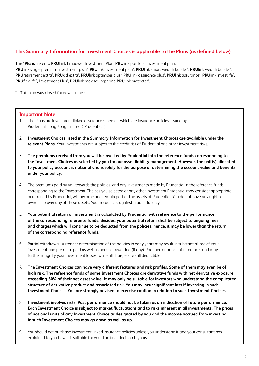## **This Summary Information for Investment Choices is applicable to the Plans (as defined below)**

The "**Plans**" refer to **PRU**Link Empower Investment Plan, **PRU**link portfolio investment plan, **PRU**link single premium investment plan\*, **PRU**link investment plan\*, **PRU**link smart wealth builder\*, **PRU**link wealth builder\*, **PRU**retirement extra\*, **PRU**kid extra\*, **PRU**link optimiser plus\*, **PRU**link assurance plus\*, **PRU**link assurance\*, **PRU**link investlife\*, **PRU**flexilife\*, Investment Plus\*, **PRU**link maxisavings\* and **PRU**link protector\*.

\* This plan was closed for new business.

#### **Important Note**

- 1. The Plans are investment-linked assurance schemes, which are insurance policies, issued by Prudential Hong Kong Limited ("Prudential").
- 2. **Investment Choices listed in the Summary Information for Investment Choices are available under the relevant Plans.** Your investments are subject to the credit risk of Prudential and other investment risks.
- 3. **The premiums received from you will be invested by Prudential into the reference funds corresponding to the Investment Choices as selected by you for our asset liability management. However, the unit(s) allocated to your policy account is notional and is solely for the purpose of determining the account value and benefits under your policy.**
- 4. The premiums paid by you towards the policies, and any investments made by Prudential in the reference funds corresponding to the Investment Choices you selected or any other investment Prudential may consider appropriate or retained by Prudential, will become and remain part of the assets of Prudential. You do not have any rights or ownership over any of these assets. Your recourse is against Prudential only.
- 5. **Your potential return on investment is calculated by Prudential with reference to the performance of the corresponding reference funds. Besides, your potential return shall be subject to ongoing fees and charges which will continue to be deducted from the policies, hence, it may be lower than the return of the corresponding reference funds.**
- 6. Partial withdrawal, surrender or termination of the policies in early years may result in substantial loss of your investment and premium paid as well as bonuses awarded (if any). Poor performance of reference fund may further magnify your investment losses, while all charges are still deductible.
- 7. **The Investment Choices can have very different features and risk profiles. Some of them may even be of high risk. The reference funds of some Investment Choices are derivative funds with net derivative exposure exceeding 50% of their net asset value. It may only be suitable for investors who understand the complicated structure of derivative product and associated risk. You may incur significant loss if investing in such Investment Choices. You are strongly advised to exercise caution in relation to such Investment Choices.**
- 8. **Investment involves risks. Past performance should not be taken as an indication of future performance. Each Investment Choice is subject to market fluctuations and to risks inherent in all investments. The prices of notional units of any Investment Choice as designated by you and the income accrued from investing in such Investment Choices may go down as well as up.**
- 9. You should not purchase investment-linked insurance policies unless you understand it and your consultant has explained to you how it is suitable for you. The final decision is yours.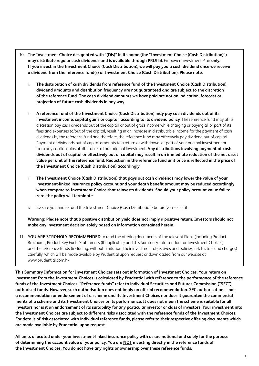- 10. **The Investment Choice designated with "(Dis)" in its name (the "Investment Choice (Cash Distribution)") may distribute regular cash dividends and is available through PRU**Link Empower Investment Plan **only. If you invest in the Investment Choice (Cash Distribution), we will pay you a cash dividend once we receive a dividend from the reference fund(s) of Investment Choice (Cash Distribution). Please note:**
	- i. **The distribution of cash dividends from reference fund of the Investment Choice (Cash Distribution), dividend amounts and distribution frequency are not guaranteed and are subject to the discretion of the reference fund. The cash dividend amounts we have paid are not an indication, forecast or projection of future cash dividends in any way.**
	- ii. **A reference fund of the Investment Choice (Cash Distribution) may pay cash dividends out of its investment income, capital gains or capital, according to its dividend policy**. The reference fund may at its discretion pay cash dividends out of the capital or out of gross income while charging or paying all or part of its fees and expenses to/out of the capital, resulting in an increase in distributable income for the payment of cash dividends by the reference fund and therefore, the reference fund may effectively pay dividend out of capital. Payment of dividends out of capital amounts to a return or withdrawal of part of your original investment or from any capital gains attributable to that original investment. **Any distributions involving payment of cash dividends out of capital or effectively out of capital may result in an immediate reduction of the net asset value per unit of the reference fund. Reduction in the reference fund unit price is reflected in the price of the Investment Choice (Cash Distribution) accordingly.**
	- iii. **The Investment Choice (Cash Distribution) that pays out cash dividends may lower the value of your investment-linked insurance policy account and your death benefit amount may be reduced accordingly when compare to Investment Choice that reinvests dividends. Should your policy account value fall to zero, the policy will terminate.**
	- iv. Be sure you understand the Investment Choice (Cash Distribution) before you select it.

**Warning: Please note that a positive distribution yield does not imply a positive return. Investors should not make any investment decision solely based on information contained herein.**

11. **YOU ARE STRONGLY RECOMMENDED** to read the offering documents of the relevant Plans (including Product Brochures, Product Key Facts Statements (if applicable) and this Summary Information for Investment Choices) and the reference funds (including, without limitation, their investment objectives and policies, risk factors and charges) carefully, which will be made available by Prudential upon request or downloaded from our website at [www.prudential.com.hk.](https://www.prudential.com.hk/en/index.html)

**This Summary Information for Investment Choices sets out information of Investment Choices. Your return on investment from the Investment Choices is calculated by Prudential with reference to the performance of the reference funds of the Investment Choices. "Reference funds" refer to individual Securities and Futures Commission ("SFC") authorised funds. However, such authorisation does not imply an official recommendation. SFC authorisation is not a recommendation or endorsement of a scheme and its Investment Choices nor does it guarantee the commercial merits of a scheme and its Investment Choices or its performance. It does not mean the scheme is suitable for all investors nor is it an endorsement of its suitability for any particular investor or class of investors. Your investment into the Investment Choices are subject to different risks associated with the reference funds of the Investment Choices. For details of risk associated with individual reference funds, please refer to their respective offering documents which are made available by Prudential upon request.**

**All units allocated under your investment-linked insurance policy with us are notional and solely for the purpose of determining the account value of your policy. You are NOT investing directly in the reference funds of the Investment Choices. You do not have any rights or ownership over these reference funds.**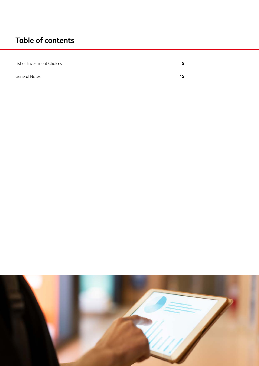# **Table of contents**

| List of Investment Choices |    |
|----------------------------|----|
| <b>General Notes</b>       | 15 |

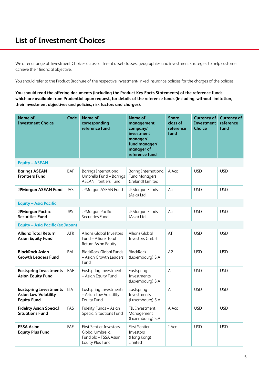We offer a range of Investment Choices across different asset classes, geographies and investment strategies to help customer achieve their financial objective.

You should refer to the Product Brochure of the respective investment-linked insurance policies for the charges of the policies.

**You should read the offering documents (including the Product Key Facts Statements) of the reference funds, which are available from Prudential upon request, for details of the reference funds (including, without limitation, their investment objectives and policies, risk factors and charges).**

| <b>Name of</b><br><b>Investment Choice</b>                                         | Code       | <b>Name of</b><br>corresponding<br>reference fund                                              | <b>Name of</b><br>management<br>company/<br>investment<br>manager/<br>fund manager/<br>manager of<br>reference fund | <b>Share</b><br>class of<br>reference<br>fund | <b>Currency of</b><br>Investment<br><b>Choice</b> | <b>Currency of</b><br>reference<br>fund |
|------------------------------------------------------------------------------------|------------|------------------------------------------------------------------------------------------------|---------------------------------------------------------------------------------------------------------------------|-----------------------------------------------|---------------------------------------------------|-----------------------------------------|
| <b>Equity - ASEAN</b>                                                              |            |                                                                                                |                                                                                                                     |                                               |                                                   |                                         |
| <b>Barings ASEAN</b><br><b>Frontiers Fund</b>                                      | <b>BAF</b> | <b>Barings International</b><br>Umbrella Fund - Barings<br><b>ASEAN Frontiers Fund</b>         | <b>Baring International</b><br><b>Fund Managers</b><br>(Ireland) Limited                                            | A Acc                                         | <b>USD</b>                                        | <b>USD</b>                              |
| <b>JPMorgan ASEAN Fund</b>                                                         | <b>JAS</b> | JPMorgan ASEAN Fund                                                                            | JPMorgan Funds<br>(Asia) Ltd.                                                                                       | Acc                                           | <b>USD</b>                                        | <b>USD</b>                              |
| <b>Equity - Asia Pacific</b>                                                       |            |                                                                                                |                                                                                                                     |                                               |                                                   |                                         |
| <b>JPMorgan Pacific</b><br><b>Securities Fund</b>                                  | <b>JPS</b> | JPMorgan Pacific<br>Securities Fund                                                            | JPMorgan Funds<br>(Asia) Ltd.                                                                                       | Acc                                           | <b>USD</b>                                        | <b>USD</b>                              |
| Equity - Asia Pacific (ex Japan)                                                   |            |                                                                                                |                                                                                                                     |                                               |                                                   |                                         |
| <b>Allianz Total Return</b><br><b>Asian Equity Fund</b>                            | <b>ATR</b> | <b>Allianz Global Investors</b><br>Fund - Allianz Total<br>Return Asian Equity                 | Allianz Global<br>Investors GmbH                                                                                    | AT                                            | <b>USD</b>                                        | <b>USD</b>                              |
| <b>BlackRock Asian</b><br><b>Growth Leaders Fund</b>                               | <b>BAL</b> | <b>BlackRock Global Funds</b><br>- Asian Growth Leaders<br>Fund                                | <b>BlackRock</b><br>(Luxembourg) S.A.                                                                               | A2                                            | <b>USD</b>                                        | <b>USD</b>                              |
| <b>Eastspring Investments</b><br><b>Asian Equity Fund</b>                          | EAE        | <b>Eastspring Investments</b><br>- Asian Equity Fund                                           | Eastspring<br>Investments<br>(Luxembourg) S.A.                                                                      | A                                             | <b>USD</b>                                        | <b>USD</b>                              |
| <b>Eastspring Investments</b><br><b>Asian Low Volatility</b><br><b>Equity Fund</b> | ELV        | <b>Eastspring Investments</b><br>- Asian Low Volatility<br><b>Equity Fund</b>                  | Eastspring<br>Investments<br>(Luxembourg) S.A.                                                                      | A                                             | <b>USD</b>                                        | <b>USD</b>                              |
| <b>Fidelity Asian Special</b><br><b>Situations Fund</b>                            | FAS        | Fidelity Funds - Asian<br><b>Special Situations Fund</b>                                       | FIL Investment<br>Management<br>(Luxembourg) S.A.                                                                   | A Acc                                         | <b>USD</b>                                        | <b>USD</b>                              |
| <b>FSSA Asian</b><br><b>Equity Plus Fund</b>                                       | FAE        | <b>First Sentier Investors</b><br>Global Umbrella<br>Fund plc - FSSA Asian<br>Equity Plus Fund | <b>First Sentier</b><br>Investors<br>(Hong Kong)<br>Limited                                                         | I Acc                                         | <b>USD</b>                                        | <b>USD</b>                              |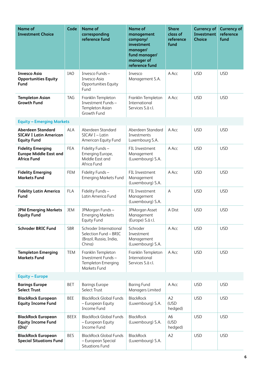| <b>Name of</b><br><b>Investment Choice</b>                                      | Code        | <b>Name of</b><br>corresponding<br>reference fund                                    | <b>Name of</b><br>management<br>company/<br>investment<br>manager/<br>fund manager/<br>manager of<br>reference fund | <b>Share</b><br>class of<br>reference<br>fund | <b>Currency of</b><br>Investment<br><b>Choice</b> | <b>Currency of</b><br>reference<br>fund |
|---------------------------------------------------------------------------------|-------------|--------------------------------------------------------------------------------------|---------------------------------------------------------------------------------------------------------------------|-----------------------------------------------|---------------------------------------------------|-----------------------------------------|
| <b>Invesco Asia</b><br><b>Opportunities Equity</b><br>Fund                      | <b>IAO</b>  | Invesco Funds-<br>Invesco Asia<br>Opportunities Equity<br>Fund                       | Invesco<br>Management S.A.                                                                                          | A Acc                                         | <b>USD</b>                                        | <b>USD</b>                              |
| <b>Templeton Asian</b><br><b>Growth Fund</b>                                    | <b>TAG</b>  | Franklin Templeton<br>Investment Funds-<br>Templeton Asian<br>Growth Fund            | Franklin Templeton<br>International<br>Services S.à r.l.                                                            | A Acc                                         | <b>USD</b>                                        | <b>USD</b>                              |
| <b>Equity - Emerging Markets</b>                                                |             |                                                                                      |                                                                                                                     |                                               |                                                   |                                         |
| <b>Aberdeen Standard</b><br><b>SICAV I Latin American</b><br><b>Equity Fund</b> | <b>ALA</b>  | Aberdeen Standard<br>SICAV I - Latin<br>American Equity Fund                         | Aberdeen Standard<br>Investments<br>Luxembourg S.A.                                                                 | A Acc                                         | <b>USD</b>                                        | <b>USD</b>                              |
| <b>Fidelity Emerging</b><br><b>Europe Middle East and</b><br><b>Africa Fund</b> | <b>FEA</b>  | Fidelity Funds-<br>Emerging Europe,<br>Middle East and<br>Africa Fund                | FIL Investment<br>Management<br>(Luxembourg) S.A.                                                                   | A Acc                                         | <b>USD</b>                                        | <b>USD</b>                              |
| <b>Fidelity Emerging</b><br><b>Markets Fund</b>                                 | <b>FEM</b>  | Fidelity Funds-<br><b>Emerging Markets Fund</b>                                      | FIL Investment<br>Management<br>(Luxembourg) S.A.                                                                   | A Acc                                         | <b>USD</b>                                        | <b>USD</b>                              |
| <b>Fidelity Latin America</b><br>Fund                                           | <b>FLA</b>  | Fidelity Funds-<br>Latin America Fund                                                | FIL Investment<br>Management<br>(Luxembourg) S.A.                                                                   | $\overline{\mathsf{A}}$                       | <b>USD</b>                                        | <b>USD</b>                              |
| <b>JPM Emerging Markets</b><br><b>Equity Fund</b>                               | <b>JEM</b>  | JPMorgan Funds-<br><b>Emerging Markets</b><br><b>Equity Fund</b>                     | JPMorgan Asset<br>Management<br>(Europe) S.á r.l.                                                                   | A Dist                                        | <b>USD</b>                                        | <b>USD</b>                              |
| <b>Schroder BRIC Fund</b>                                                       | <b>SBR</b>  | Schroder International<br>Selection Fund - BRIC<br>(Brazil, Russia, India,<br>China) | Schroder<br>Investment<br>Management<br>(Luxembourg) S.A.                                                           | A Acc                                         | <b>USD</b>                                        | <b>USD</b>                              |
| <b>Templeton Emerging</b><br><b>Markets Fund</b>                                | <b>TEM</b>  | Franklin Templeton<br>Investment Funds-<br>Templeton Emerging<br>Markets Fund        | Franklin Templeton<br>International<br>Services S.à r.l.                                                            | A Acc                                         | <b>USD</b>                                        | <b>USD</b>                              |
| <b>Equity - Europe</b>                                                          |             |                                                                                      |                                                                                                                     |                                               |                                                   |                                         |
| <b>Barings Europe</b><br><b>Select Trust</b>                                    | <b>BET</b>  | <b>Barings Europe</b><br>Select Trust                                                | <b>Baring Fund</b><br>Managers Limited                                                                              | A Acc                                         | <b>USD</b>                                        | <b>USD</b>                              |
| <b>BlackRock European</b><br><b>Equity Income Fund</b>                          | <b>BEE</b>  | <b>BlackRock Global Funds</b><br>- European Equity<br>Income Fund                    | <b>BlackRock</b><br>(Luxembourg) S.A.                                                                               | A2<br>(USD<br>hedged)                         | <b>USD</b>                                        | <b>USD</b>                              |
| <b>BlackRock European</b><br><b>Equity Income Fund</b><br>$(Dis)^*$             | <b>BEEX</b> | <b>BlackRock Global Funds</b><br>- European Equity<br>Income Fund                    | <b>BlackRock</b><br>(Luxembourg) S.A.                                                                               | A <sub>6</sub><br>(USD<br>hedged)             | <b>USD</b>                                        | <b>USD</b>                              |
| <b>BlackRock European</b><br><b>Special Situations Fund</b>                     | <b>BES</b>  | <b>BlackRock Global Funds</b><br>- European Special<br><b>Situations Fund</b>        | <b>BlackRock</b><br>(Luxembourg) S.A.                                                                               | A2                                            | <b>USD</b>                                        | <b>USD</b>                              |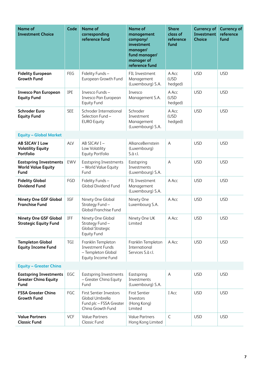| <b>Name of</b><br><b>Investment Choice</b>                           | Code       | <b>Name of</b><br>corresponding<br>reference fund                                                 | <b>Name of</b><br>management<br>company/<br>investment<br>manager/<br>fund manager/<br>manager of<br>reference fund | <b>Share</b><br>class of<br>reference<br>fund | <b>Currency of</b><br>Investment<br><b>Choice</b> | <b>Currency of</b><br>reference<br>fund |
|----------------------------------------------------------------------|------------|---------------------------------------------------------------------------------------------------|---------------------------------------------------------------------------------------------------------------------|-----------------------------------------------|---------------------------------------------------|-----------------------------------------|
| <b>Fidelity European</b><br><b>Growth Fund</b>                       | FEG        | Fidelity Funds-<br>European Growth Fund                                                           | FIL Investment<br>Management<br>(Luxembourg) S.A.                                                                   | A Acc<br>(USD<br>hedged)                      | <b>USD</b>                                        | <b>USD</b>                              |
| <b>Invesco Pan European</b><br><b>Equity Fund</b>                    | <b>IPE</b> | Invesco Funds-<br>Invesco Pan European<br><b>Equity Fund</b>                                      | Invesco<br>Management S.A.                                                                                          | A Acc<br>(USD<br>hedged)                      | <b>USD</b>                                        | <b>USD</b>                              |
| <b>Schroder Euro</b><br><b>Equity Fund</b>                           | <b>SEE</b> | Schroder International<br>Selection Fund-<br><b>EURO Equity</b>                                   | Schroder<br>Investment<br>Management<br>(Luxembourg) S.A.                                                           | A Acc<br>(USD<br>hedged)                      | <b>USD</b>                                        | <b>USD</b>                              |
| <b>Equity - Global Market</b>                                        |            |                                                                                                   |                                                                                                                     |                                               |                                                   |                                         |
| <b>AB SICAV I Low</b><br><b>Volatility Equity</b><br>Portfolio       | ALV        | AB SICAV I-<br>Low Volatility<br>Equity Portfolio                                                 | AllianceBernstein<br>(Luxembourg)<br>S.à r.l.                                                                       | $\overline{A}$                                | <b>USD</b>                                        | <b>USD</b>                              |
| <b>Eastspring Investments</b><br><b>World Value Equity</b><br>Fund   | EWV        | <b>Eastspring Investments</b><br>- World Value Equity<br>Fund                                     | Eastspring<br>Investments<br>(Luxembourg) S.A.                                                                      | $\mathsf{A}$                                  | <b>USD</b>                                        | <b>USD</b>                              |
| <b>Fidelity Global</b><br><b>Dividend Fund</b>                       | FGD        | Fidelity Funds-<br><b>Global Dividend Fund</b>                                                    | FIL Investment<br>Management<br>(Luxembourg) S.A.                                                                   | A Acc                                         | <b>USD</b>                                        | <b>USD</b>                              |
| <b>Ninety One GSF Global</b><br><b>Franchise Fund</b>                | IGF        | Ninety One Global<br>Strategy Fund-<br>Global Franchise Fund                                      | Ninety One<br>Luxembourg S.A.                                                                                       | A Acc                                         | <b>USD</b>                                        | <b>USD</b>                              |
| <b>Ninety One GSF Global</b><br><b>Strategic Equity Fund</b>         | IFF        | Ninety One Global<br>Strategy Fund-<br><b>Global Strategic</b><br><b>Equity Fund</b>              | Ninety One UK<br>Limited                                                                                            | A Acc                                         | <b>USD</b>                                        | <b>USD</b>                              |
| <b>Templeton Global</b><br><b>Equity Income Fund</b>                 | TGI        | Franklin Templeton<br><b>Investment Funds</b><br>- Templeton Global<br>Equity Income Fund         | Franklin Templeton<br>International<br>Services S.à r.l.                                                            | A Acc                                         | <b>USD</b>                                        | <b>USD</b>                              |
| <b>Equity - Greater China</b>                                        |            |                                                                                                   |                                                                                                                     |                                               |                                                   |                                         |
| <b>Eastspring Investments</b><br><b>Greater China Equity</b><br>Fund | EGC        | <b>Eastspring Investments</b><br>- Greater China Equity<br>Fund                                   | Eastspring<br>Investments<br>(Luxembourg) S.A.                                                                      | $\mathsf A$                                   | <b>USD</b>                                        | <b>USD</b>                              |
| <b>FSSA Greater China</b><br><b>Growth Fund</b>                      | FGC        | <b>First Sentier Investors</b><br>Global Umbrella<br>Fund plc - FSSA Greater<br>China Growth Fund | <b>First Sentier</b><br>Investors<br>(Hong Kong)<br>Limited                                                         | I Acc                                         | <b>USD</b>                                        | <b>USD</b>                              |
| <b>Value Partners</b><br><b>Classic Fund</b>                         | <b>VCF</b> | <b>Value Partners</b><br><b>Classic Fund</b>                                                      | <b>Value Partners</b><br>Hong Kong Limited                                                                          | $\mathsf{C}$                                  | <b>USD</b>                                        | <b>USD</b>                              |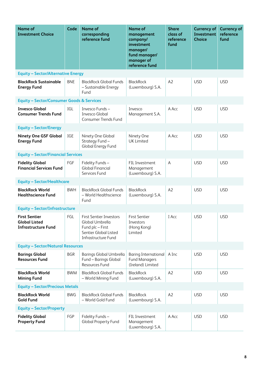| <b>Name of</b><br><b>Investment Choice</b>                                 | Code       | <b>Name of</b><br>corresponding<br>reference fund                                                                     | <b>Name of</b><br>management<br>company/<br>investment<br>manager/<br>fund manager/<br>manager of<br>reference fund | <b>Share</b><br>class of<br>reference<br>fund | <b>Currency of</b><br>Investment<br><b>Choice</b> | <b>Currency of</b><br>reference<br>fund |
|----------------------------------------------------------------------------|------------|-----------------------------------------------------------------------------------------------------------------------|---------------------------------------------------------------------------------------------------------------------|-----------------------------------------------|---------------------------------------------------|-----------------------------------------|
| <b>Equity - Sector/Alternative Energy</b>                                  |            |                                                                                                                       |                                                                                                                     |                                               |                                                   |                                         |
| <b>BlackRock Sustainable</b><br><b>Energy Fund</b>                         | <b>BNE</b> | <b>BlackRock Global Funds</b><br>- Sustainable Energy<br>Fund                                                         | <b>BlackRock</b><br>(Luxembourg) S.A.                                                                               | A2                                            | <b>USD</b>                                        | <b>USD</b>                              |
| <b>Equity - Sector/Consumer Goods &amp; Services</b>                       |            |                                                                                                                       |                                                                                                                     |                                               |                                                   |                                         |
| <b>Invesco Global</b><br><b>Consumer Trends Fund</b>                       | IGL        | Invesco Funds-<br>Invesco Global<br>Consumer Trends Fund                                                              | Invesco<br>Management S.A.                                                                                          | A Acc                                         | <b>USD</b>                                        | <b>USD</b>                              |
| <b>Equity - Sector/Energy</b>                                              |            |                                                                                                                       |                                                                                                                     |                                               |                                                   |                                         |
| <b>Ninety One GSF Global</b><br><b>Energy Fund</b>                         | IGE        | Ninety One Global<br>Strategy Fund-<br>Global Energy Fund                                                             | Ninety One<br><b>UK Limited</b>                                                                                     | A Acc                                         | <b>USD</b>                                        | <b>USD</b>                              |
| <b>Equity - Sector/Financial Services</b>                                  |            |                                                                                                                       |                                                                                                                     |                                               |                                                   |                                         |
| <b>Fidelity Global</b><br><b>Financial Services Fund</b>                   | FGF        | Fidelity Funds-<br><b>Global Financial</b><br>Services Fund                                                           | FIL Investment<br>Management<br>(Luxembourg) S.A.                                                                   | $\mathsf A$                                   | <b>USD</b>                                        | <b>USD</b>                              |
| <b>Equity - Sector/Healthcare</b>                                          |            |                                                                                                                       |                                                                                                                     |                                               |                                                   |                                         |
| <b>BlackRock World</b><br><b>Healthscience Fund</b>                        | <b>BWH</b> | <b>BlackRock Global Funds</b><br>- World Healthscience<br>Fund                                                        | <b>BlackRock</b><br>(Luxembourg) S.A.                                                                               | A2                                            | <b>USD</b>                                        | <b>USD</b>                              |
| <b>Equity - Sector/Infrastructure</b>                                      |            |                                                                                                                       |                                                                                                                     |                                               |                                                   |                                         |
| <b>First Sentier</b><br><b>Global Listed</b><br><b>Infrastructure Fund</b> | FGL        | <b>First Sentier Investors</b><br>Global Umbrella<br>Fund plc - First<br>Sentier Global Listed<br>Infrastructure Fund | <b>First Sentier</b><br>Investors<br>(Hong Kong)<br>Limited                                                         | I Acc                                         | USD.                                              | <b>USD</b>                              |
| <b>Equity - Sector/Natural Resources</b>                                   |            |                                                                                                                       |                                                                                                                     |                                               |                                                   |                                         |
| <b>Barings Global</b><br><b>Resources Fund</b>                             | <b>BGR</b> | Barings Global Umbrella<br>Fund - Barings Global<br>Resources Fund                                                    | <b>Baring International</b><br><b>Fund Managers</b><br>(Ireland) Limited                                            | A Inc                                         | <b>USD</b>                                        | <b>USD</b>                              |
| <b>BlackRock World</b><br><b>Mining Fund</b>                               | <b>BWM</b> | <b>BlackRock Global Funds</b><br>- World Mining Fund                                                                  | <b>BlackRock</b><br>(Luxembourg) S.A.                                                                               | A2                                            | <b>USD</b>                                        | <b>USD</b>                              |
| <b>Equity - Sector/Precious Metals</b>                                     |            |                                                                                                                       |                                                                                                                     |                                               |                                                   |                                         |
| <b>BlackRock World</b><br><b>Gold Fund</b>                                 | <b>BWG</b> | <b>BlackRock Global Funds</b><br>- World Gold Fund                                                                    | <b>BlackRock</b><br>(Luxembourg) S.A.                                                                               | A <sub>2</sub>                                | <b>USD</b>                                        | <b>USD</b>                              |
| <b>Equity - Sector/Property</b>                                            |            |                                                                                                                       |                                                                                                                     |                                               |                                                   |                                         |
| <b>Fidelity Global</b><br><b>Property Fund</b>                             | FGP        | Fidelity Funds-<br><b>Global Property Fund</b>                                                                        | FIL Investment<br>Management<br>(Luxembourg) S.A.                                                                   | A Acc                                         | <b>USD</b>                                        | <b>USD</b>                              |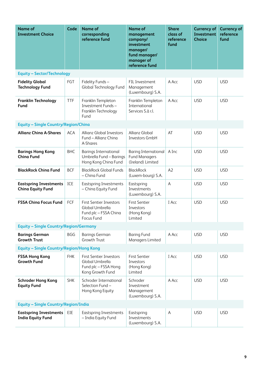| <b>Name of</b><br><b>Investment Choice</b>                | Code       | <b>Name of</b><br>corresponding<br>reference fund                                             | <b>Name of</b><br>management<br>company/<br>investment<br>manager/<br>fund manager/<br>manager of<br>reference fund | <b>Share</b><br>class of<br>reference<br>fund | <b>Currency of</b><br><b>Investment</b><br><b>Choice</b> | <b>Currency of</b><br>reference<br>fund |
|-----------------------------------------------------------|------------|-----------------------------------------------------------------------------------------------|---------------------------------------------------------------------------------------------------------------------|-----------------------------------------------|----------------------------------------------------------|-----------------------------------------|
| <b>Equity - Sector/Technology</b>                         |            |                                                                                               |                                                                                                                     |                                               |                                                          |                                         |
| <b>Fidelity Global</b><br><b>Technology Fund</b>          | FGT        | Fidelity Funds-<br>Global Technology Fund                                                     | FIL Investment<br>Management<br>(Luxembourg) S.A.                                                                   | A Acc                                         | <b>USD</b>                                               | <b>USD</b>                              |
| <b>Franklin Technology</b><br>Fund                        | <b>TTF</b> | Franklin Templeton<br>Investment Funds-<br>Franklin Technology<br>Fund                        | Franklin Templeton<br>International<br>Services S.à r.l.                                                            | A Acc                                         | <b>USD</b>                                               | <b>USD</b>                              |
| <b>Equity - Single Country/Region/China</b>               |            |                                                                                               |                                                                                                                     |                                               |                                                          |                                         |
| <b>Allianz China A-Shares</b>                             | <b>ACA</b> | <b>Allianz Global Investors</b><br>Fund - Allianz China<br>A-Shares                           | Allianz Global<br>Investors GmbH                                                                                    | AT                                            | <b>USD</b>                                               | <b>USD</b>                              |
| <b>Barings Hong Kong</b><br><b>China Fund</b>             | <b>BHC</b> | <b>Barings International</b><br>Umbrella Fund - Barings<br>Hong Kong China Fund               | <b>Baring International</b><br><b>Fund Managers</b><br>(Ireland) Limited                                            | A Inc                                         | <b>USD</b>                                               | <b>USD</b>                              |
| <b>BlackRock China Fund</b>                               | <b>BCF</b> | <b>BlackRock Global Funds</b><br>- China Fund                                                 | <b>BlackRock</b><br>(Luxem-bourg) S.A.                                                                              | A2                                            | <b>USD</b>                                               | <b>USD</b>                              |
| <b>Eastspring Investments</b><br><b>China Equity Fund</b> | ICE        | <b>Eastspring Investments</b><br>- China Equity Fund                                          | Eastspring<br>Investments<br>(Luxembourg) S.A.                                                                      | $\overline{A}$                                | <b>USD</b>                                               | <b>USD</b>                              |
| <b>FSSA China Focus Fund</b>                              | FCF        | <b>First Sentier Investors</b><br>Global Umbrella<br>Fund plc - FSSA China<br>Focus Fund      | <b>First Sentier</b><br>Investors<br>(Hong Kong)<br>Limited                                                         | I Acc                                         | <b>USD</b>                                               | <b>USD</b>                              |
| <b>Equity - Single Country/Region/Germany</b>             |            |                                                                                               |                                                                                                                     |                                               |                                                          |                                         |
| <b>Barings German</b><br><b>Growth Trust</b>              | <b>BGG</b> | <b>Barings German</b><br>Growth Trust                                                         | <b>Baring Fund</b><br>Managers Limited                                                                              | A Acc                                         | <b>USD</b>                                               | <b>USD</b>                              |
| <b>Equity - Single Country/Region/Hong Kong</b>           |            |                                                                                               |                                                                                                                     |                                               |                                                          |                                         |
| <b>FSSA Hong Kong</b><br><b>Growth Fund</b>               | <b>FHK</b> | <b>First Sentier Investors</b><br>Global Umbrella<br>Fund plc - FSSA Hong<br>Kong Growth Fund | <b>First Sentier</b><br>Investors<br>(Hong Kong)<br>Limited                                                         | I Acc                                         | <b>USD</b>                                               | <b>USD</b>                              |
| <b>Schroder Hong Kong</b><br><b>Equity Fund</b>           | <b>SHK</b> | Schroder International<br>Selection Fund-<br>Hong Kong Equity                                 | Schroder<br>Investment<br>Management<br>(Luxembourg) S.A.                                                           | A Acc                                         | <b>USD</b>                                               | <b>USD</b>                              |
| <b>Equity - Single Country/Region/India</b>               |            |                                                                                               |                                                                                                                     |                                               |                                                          |                                         |
| <b>Eastspring Investments</b><br><b>India Equity Fund</b> | EIE        | <b>Eastspring Investments</b><br>- India Equity Fund                                          | Eastspring<br>Investments<br>(Luxembourg) S.A.                                                                      | $\mathsf{A}$                                  | <b>USD</b>                                               | <b>USD</b>                              |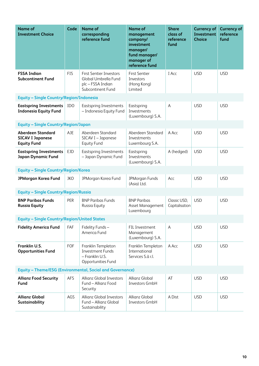| <b>Name of</b><br><b>Investment Choice</b>                                | Code       | <b>Name of</b><br>corresponding<br>reference fund                                                | <b>Name of</b><br>management<br>company/<br>investment<br>manager/<br>fund manager/<br>manager of<br>reference fund | <b>Share</b><br>class of<br>reference<br>fund | <b>Currency of</b><br>Investment<br><b>Choice</b> | <b>Currency of</b><br>reference<br>fund |
|---------------------------------------------------------------------------|------------|--------------------------------------------------------------------------------------------------|---------------------------------------------------------------------------------------------------------------------|-----------------------------------------------|---------------------------------------------------|-----------------------------------------|
| <b>FSSA Indian</b><br><b>Subcontinent Fund</b>                            | <b>FIS</b> | <b>First Sentier Investors</b><br>Global Umbrella Fund<br>plc - FSSA Indian<br>Subcontinent Fund | <b>First Sentier</b><br>Investors<br>(Hong Kong)<br>Limited                                                         | I Acc                                         | <b>USD</b>                                        | <b>USD</b>                              |
| Equity - Single Country/Region/Indonesia                                  |            |                                                                                                  |                                                                                                                     |                                               |                                                   |                                         |
| <b>Eastspring Investments</b><br><b>Indonesia Equity Fund</b>             | IDO        | <b>Eastspring Investments</b><br>- Indonesia Equity Fund                                         | Eastspring<br>Investments<br>(Luxembourg) S.A.                                                                      | A                                             | <b>USD</b>                                        | <b>USD</b>                              |
| <b>Equity - Single Country/Region/Japan</b>                               |            |                                                                                                  |                                                                                                                     |                                               |                                                   |                                         |
| <b>Aberdeen Standard</b><br><b>SICAV I Japanese</b><br><b>Equity Fund</b> | AJE        | Aberdeen Standard<br>SICAV I - Japanese<br>Equity Fund                                           | Aberdeen Standard<br>Investments<br>Luxembourg S.A.                                                                 | A Acc                                         | <b>USD</b>                                        | <b>USD</b>                              |
| <b>Eastspring Investments</b><br>Japan Dynamic Fund                       | <b>EJD</b> | <b>Eastspring Investments</b><br>- Japan Dynamic Fund                                            | Eastspring<br>Investments<br>(Luxembourg) S.A.                                                                      | A (hedged)                                    | <b>USD</b>                                        | <b>USD</b>                              |
| <b>Equity - Single Country/Region/Korea</b>                               |            |                                                                                                  |                                                                                                                     |                                               |                                                   |                                         |
| <b>JPMorgan Korea Fund</b>                                                | JKO        | JPMorgan Korea Fund                                                                              | JPMorgan Funds<br>(Asia) Ltd.                                                                                       | Acc                                           | <b>USD</b>                                        | <b>USD</b>                              |
| <b>Equity - Single Country/Region/Russia</b>                              |            |                                                                                                  |                                                                                                                     |                                               |                                                   |                                         |
| <b>BNP Paribas Funds</b><br><b>Russia Equity</b>                          | PER        | <b>BNP Paribas Funds</b><br>Russia Equity                                                        | <b>BNP Paribas</b><br>Asset Management<br>Luxembourg                                                                | Classic USD,<br>Capitalisation                | <b>USD</b>                                        | <b>USD</b>                              |
| <b>Equity - Single Country/Region/United States</b>                       |            |                                                                                                  |                                                                                                                     |                                               |                                                   |                                         |
| <b>Fidelity America Fund</b>                                              | <b>FAF</b> | Fidelity Funds-<br>America Fund                                                                  | FIL Investment<br>Management<br>(Luxembourg) S.A.                                                                   | $\mathsf A$                                   | <b>USD</b>                                        | <b>USD</b>                              |
| Franklin U.S.<br><b>Opportunities Fund</b>                                | FOF        | Franklin Templeton<br><b>Investment Funds</b><br>- Franklin U.S.<br>Opportunities Fund           | Franklin Templeton<br>International<br>Services S.à r.l.                                                            | A Acc                                         | <b>USD</b>                                        | <b>USD</b>                              |
| <b>Equity - Theme/ESG (Environmental, Social and Governance)</b>          |            |                                                                                                  |                                                                                                                     |                                               |                                                   |                                         |
| <b>Allianz Food Security</b><br>Fund                                      | <b>AFS</b> | <b>Allianz Global Investors</b><br>Fund - Allianz Food<br>Security                               | Allianz Global<br>Investors GmbH                                                                                    | AT                                            | <b>USD</b>                                        | <b>USD</b>                              |
| <b>Allianz Global</b><br>Sustainability                                   | AGS        | <b>Allianz Global Investors</b><br>Fund - Allianz Global<br>Sustainability                       | Allianz Global<br>Investors GmbH                                                                                    | A Dist                                        | <b>USD</b>                                        | <b>USD</b>                              |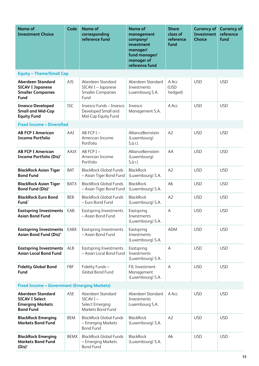| <b>Name of</b><br><b>Investment Choice</b>                                                       | Code        | <b>Name of</b><br>corresponding<br>reference fund                           | <b>Name of</b><br>management<br>company/<br>investment<br>manager/<br>fund manager/<br>manager of<br>reference fund | <b>Share</b><br>class of<br>reference<br>fund | <b>Currency of</b><br>Investment<br><b>Choice</b> | <b>Currency of</b><br>reference<br>fund |  |
|--------------------------------------------------------------------------------------------------|-------------|-----------------------------------------------------------------------------|---------------------------------------------------------------------------------------------------------------------|-----------------------------------------------|---------------------------------------------------|-----------------------------------------|--|
| <b>Equity - Theme/Small Cap</b>                                                                  |             |                                                                             |                                                                                                                     |                                               |                                                   |                                         |  |
| <b>Aberdeen Standard</b><br><b>SICAV I Japanese</b><br><b>Smaller Companies</b><br><b>Fund</b>   | AJS         | Aberdeen Standard<br>SICAV I - Japanese<br><b>Smaller Companies</b><br>Fund | Aberdeen Standard<br>Investments<br>Luxembourg S.A.                                                                 | A Acc<br>(USD<br>hedged)                      | <b>USD</b>                                        | <b>USD</b>                              |  |
| <b>Invesco Developed</b><br><b>Small and Mid-Cap</b><br><b>Equity Fund</b>                       | <b>ISC</b>  | Invesco Funds - Invesco<br>Developed Small and<br>Mid-Cap Equity Fund       | Invesco<br>Management S.A.                                                                                          | A Acc                                         | <b>USD</b>                                        | <b>USD</b>                              |  |
| <b>Fixed Income - Diversified</b>                                                                |             |                                                                             |                                                                                                                     |                                               |                                                   |                                         |  |
| <b>AB FCP I American</b><br><b>Income Portfolio</b>                                              | AAI         | AB FCP I-<br>American Income<br>Portfolio                                   | AllianceBernstein<br>(Luxembourg)<br>S.à r.l.                                                                       | A2                                            | <b>USD</b>                                        | <b>USD</b>                              |  |
| <b>AB FCP I American</b><br>Income Portfolio (Dis)*                                              | AAIX        | AB FCP I-<br>American Income<br>Portfolio                                   | AllianceBernstein<br>(Luxembourg)<br>S.à r.l.                                                                       | AA                                            | <b>USD</b>                                        | <b>USD</b>                              |  |
| <b>BlackRock Asian Tiger</b><br><b>Bond Fund</b>                                                 | <b>BAT</b>  | <b>BlackRock Global Funds</b><br>- Asian Tiger Bond Fund                    | <b>BlackRock</b><br>(Luxembourg) S.A.                                                                               | A2                                            | <b>USD</b>                                        | <b>USD</b>                              |  |
| <b>BlackRock Asian Tiger</b><br>Bond Fund (Dis)*                                                 | <b>BATX</b> | <b>BlackRock Global Funds</b><br>- Asian Tiger Bond Fund                    | <b>BlackRock</b><br>(Luxembourg) S.A.                                                                               | A <sub>6</sub>                                | <b>USD</b>                                        | <b>USD</b>                              |  |
| <b>BlackRock Euro Bond</b><br>Fund <sup>^</sup>                                                  | <b>BEB</b>  | <b>BlackRock Global Funds</b><br>- Euro Bond Fund                           | <b>BlackRock</b><br>(Luxembourg) S.A.                                                                               | A2                                            | <b>USD</b>                                        | <b>USD</b>                              |  |
| <b>Eastspring Investments</b><br><b>Asian Bond Fund</b>                                          | EAB         | <b>Eastspring Investments</b><br>- Asian Bond Fund                          | Eastspring<br>Investments<br>(Luxembourg) S.A.                                                                      | A                                             | <b>USD</b>                                        | <b>USD</b>                              |  |
| <b>Eastspring Investments</b><br>Asian Bond Fund (Dis)*                                          | EABX        | <b>Eastspring Investments</b><br>- Asian Bond Fund                          | Eastspring<br>Investments<br>(Luxembourg) S.A.                                                                      | <b>ADM</b>                                    | <b>USD</b>                                        | <b>USD</b>                              |  |
| <b>Eastspring Investments</b><br><b>Asian Local Bond Fund</b>                                    | ALB         | <b>Eastspring Investments</b><br>- Asian Local Bond Fund                    | Eastspring<br>Investments<br>(Luxembourg) S.A.                                                                      | Α                                             | <b>USD</b>                                        | <b>USD</b>                              |  |
| <b>Fidelity Global Bond</b><br>Fund                                                              | <b>FBF</b>  | Fidelity Funds-<br><b>Global Bond Fund</b>                                  | FIL Investment<br>Management<br>(Luxembourg) S.A.                                                                   | A                                             | <b>USD</b>                                        | <b>USD</b>                              |  |
| <b>Fixed Income - Government (Emerging Markets)</b>                                              |             |                                                                             |                                                                                                                     |                                               |                                                   |                                         |  |
| <b>Aberdeen Standard</b><br><b>SICAV I Select</b><br><b>Emerging Markets</b><br><b>Bond Fund</b> | ASE         | Aberdeen Standard<br>$SICAVI -$<br>Select Emerging<br>Markets Bond Fund     | Aberdeen Standard<br>Investments<br>Luxembourg S.A.                                                                 | A Acc                                         | <b>USD</b>                                        | <b>USD</b>                              |  |
| <b>BlackRock Emerging</b><br><b>Markets Bond Fund</b>                                            | <b>BEM</b>  | <b>BlackRock Global Funds</b><br>- Emerging Markets<br><b>Bond Fund</b>     | <b>BlackRock</b><br>(Luxembourg) S.A.                                                                               | A2                                            | <b>USD</b>                                        | <b>USD</b>                              |  |
| <b>BlackRock Emerging</b><br><b>Markets Bond Fund</b><br>$(Dis)^*$                               | <b>BEMX</b> | <b>BlackRock Global Funds</b><br>- Emerging Markets<br><b>Bond Fund</b>     | <b>BlackRock</b><br>(Luxembourg) S.A.                                                                               | A <sub>6</sub>                                | <b>USD</b>                                        | <b>USD</b>                              |  |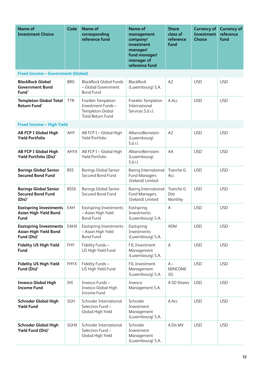| <b>Name of</b><br><b>Investment Choice</b>                                   | Code        | <b>Name of</b><br>corresponding<br>reference fund                                       | <b>Name of</b><br>management<br>company/<br>investment<br>manager/<br>fund manager/<br>manager of<br>reference fund | <b>Share</b><br>class of<br>reference<br>fund | <b>Currency of</b><br><b>Investment</b><br><b>Choice</b> | <b>Currency of</b><br>reference<br>fund |
|------------------------------------------------------------------------------|-------------|-----------------------------------------------------------------------------------------|---------------------------------------------------------------------------------------------------------------------|-----------------------------------------------|----------------------------------------------------------|-----------------------------------------|
| <b>Fixed Income - Government (Global)</b>                                    |             |                                                                                         |                                                                                                                     |                                               |                                                          |                                         |
| <b>BlackRock Global</b><br><b>Government Bond</b><br>Fund <sup>^</sup>       | <b>BRG</b>  | <b>BlackRock Global Funds</b><br>- Global Government<br><b>Bond Fund</b>                | <b>BlackRock</b><br>(Luxembourg) S.A.                                                                               | A2                                            | <b>USD</b>                                               | <b>USD</b>                              |
| <b>Templeton Global Total</b><br>Return Fund <sup>^</sup>                    | <b>TTR</b>  | Franklin Templeton<br>Investment Funds-<br>Templeton Global<br><b>Total Return Fund</b> | Franklin Templeton<br>International<br>Services S.à r.l.                                                            | A Acc                                         | <b>USD</b>                                               | <b>USD</b>                              |
| <b>Fixed Income - High Yield</b>                                             |             |                                                                                         |                                                                                                                     |                                               |                                                          |                                         |
| <b>AB FCP I Global High</b><br><b>Yield Portfolio</b>                        | AHY         | AB FCP I - Global High<br>Yield Portfolio                                               | AllianceBernstein<br>(Luxembourg)<br>S.à r.l.                                                                       | A2                                            | <b>USD</b>                                               | <b>USD</b>                              |
| <b>AB FCP I Global High</b><br>Yield Portfolio (Dis)*                        | AHYX        | AB FCP I - Global High<br>Yield Portfolio                                               | AllianceBernstein<br>(Luxembourg)<br>S.à r.l.                                                                       | AA                                            | <b>USD</b>                                               | <b>USD</b>                              |
| <b>Barings Global Senior</b><br><b>Secured Bond Fund</b>                     | <b>BSS</b>  | <b>Barings Global Senior</b><br>Secured Bond Fund                                       | <b>Baring International</b><br><b>Fund Managers</b><br>(Ireland) Limited                                            | Tranche G<br>Acc                              | <b>USD</b>                                               | <b>USD</b>                              |
| <b>Barings Global Senior</b><br><b>Secured Bond Fund</b><br>$(Dis)^*$        | <b>BSSX</b> | <b>Barings Global Senior</b><br>Secured Bond Fund                                       | <b>Baring International</b><br><b>Fund Managers</b><br>(Ireland) Limited                                            | Tranche G<br>Dist<br>Monthly                  | <b>USD</b>                                               | <b>USD</b>                              |
| <b>Eastspring Investments</b><br><b>Asian High Yield Bond</b><br>Fund        | EAH         | <b>Eastspring Investments</b><br>- Asian High Yield<br><b>Bond Fund</b>                 | Eastspring<br>Investments<br>(Luxembourg) S.A.                                                                      | Α                                             | <b>USD</b>                                               | <b>USD</b>                              |
| <b>Eastspring Investments</b><br><b>Asian High Yield Bond</b><br>Fund (Dis)* | EAHX        | <b>Eastspring Investments</b><br>- Asian High Yield<br><b>Bond Fund</b>                 | Eastspring<br>Investments<br>(Luxembourg) S.A.                                                                      | <b>ADM</b>                                    | <b>USD</b>                                               | <b>USD</b>                              |
| <b>Fidelity US High Yield</b><br><b>Fund</b>                                 | <b>FHY</b>  | Fidelity Funds-<br>US High Yield Fund                                                   | FIL Investment<br>Management<br>(Luxembourg) S.A.                                                                   | $\mathsf{A}$                                  | <b>USD</b>                                               | <b>USD</b>                              |
| <b>Fidelity US High Yield</b><br>Fund (Dis)*                                 | <b>FHYX</b> | Fidelity Funds-<br>US High Yield Fund                                                   | FIL Investment<br>Management<br>(Luxembourg) S.A.                                                                   | $A -$<br><b>MINCOME</b><br>(G)                | <b>USD</b>                                               | <b>USD</b>                              |
| <b>Invesco Global High</b><br><b>Income Fund</b>                             | IHI         | Invesco Funds-<br>Invesco Global High<br>Income Fund                                    | Invesco<br>Management S.A.                                                                                          | A SD Shares                                   | <b>USD</b>                                               | <b>USD</b>                              |
| <b>Schroder Global High</b><br><b>Yield Fund</b>                             | SGH         | Schroder International<br>Selection Fund-<br>Global High Yield                          | Schroder<br>Investment<br>Management<br>(Luxembourg) S.A.                                                           | A Acc                                         | <b>USD</b>                                               | <b>USD</b>                              |
| <b>Schroder Global High</b><br>Yield Fund (Dis)*                             | SGHX        | Schroder International<br>Selection Fund-<br>Global High Yield                          | Schroder<br>Investment<br>Management<br>(Luxembourg) S.A.                                                           | A Dis MV                                      | <b>USD</b>                                               | <b>USD</b>                              |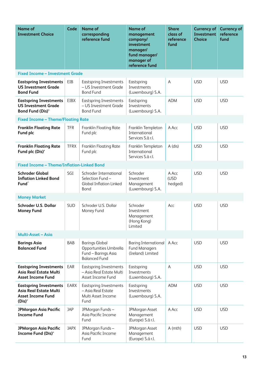| <b>Name of</b><br><b>Investment Choice</b>                                                       | Code        | <b>Name of</b><br>corresponding<br>reference fund                                              | <b>Name of</b><br>management<br>company/<br>investment<br>manager/<br>fund manager/<br>manager of<br>reference fund | <b>Share</b><br>class of<br>reference<br>fund | <b>Currency of</b><br><b>Investment</b><br><b>Choice</b> | <b>Currency of</b><br>reference<br>fund |  |  |
|--------------------------------------------------------------------------------------------------|-------------|------------------------------------------------------------------------------------------------|---------------------------------------------------------------------------------------------------------------------|-----------------------------------------------|----------------------------------------------------------|-----------------------------------------|--|--|
| <b>Fixed Income - Investment Grade</b>                                                           |             |                                                                                                |                                                                                                                     |                                               |                                                          |                                         |  |  |
| <b>Eastspring Investments</b><br><b>US Investment Grade</b><br><b>Bond Fund</b>                  | EIB         | <b>Eastspring Investments</b><br>- US Investment Grade<br><b>Bond Fund</b>                     | Eastspring<br>Investments<br>(Luxembourg) S.A.                                                                      | A                                             | <b>USD</b>                                               | <b>USD</b>                              |  |  |
| <b>Eastspring Investments</b><br><b>US Investment Grade</b><br>Bond Fund (Dis)*                  | EIBX        | <b>Eastspring Investments</b><br>- US Investment Grade<br><b>Bond Fund</b>                     | Eastspring<br>Investments<br>(Luxembourg) S.A.                                                                      | <b>ADM</b>                                    | <b>USD</b>                                               | <b>USD</b>                              |  |  |
| <b>Fixed Income - Theme/Floating Rate</b>                                                        |             |                                                                                                |                                                                                                                     |                                               |                                                          |                                         |  |  |
| <b>Franklin Floating Rate</b><br>Fund plc                                                        | <b>TFR</b>  | Franklin Floating Rate<br>Fund plc                                                             | Franklin Templeton<br>International<br>Services S.à r.l.                                                            | A Acc                                         | <b>USD</b>                                               | <b>USD</b>                              |  |  |
| <b>Franklin Floating Rate</b><br>Fund plc (Dis)*                                                 | <b>TFRX</b> | <b>Franklin Floating Rate</b><br>Fund plc                                                      | Franklin Templeton<br>International<br>Services S.à r.l.                                                            | A (dis)                                       | <b>USD</b>                                               | <b>USD</b>                              |  |  |
| <b>Fixed Income - Theme/Inflation-Linked Bond</b>                                                |             |                                                                                                |                                                                                                                     |                                               |                                                          |                                         |  |  |
| <b>Schroder Global</b><br><b>Inflation Linked Bond</b><br>Fund <sup>^</sup>                      | SGI         | Schroder International<br>Selection Fund-<br><b>Global Inflation Linked</b><br><b>Bond</b>     | Schroder<br>Investment<br>Management<br>(Luxembourg) S.A.                                                           | A Acc<br>(USD<br>hedged)                      | <b>USD</b>                                               | <b>USD</b>                              |  |  |
| <b>Money Market</b>                                                                              |             |                                                                                                |                                                                                                                     |                                               |                                                          |                                         |  |  |
| Schroder U.S. Dollar<br><b>Money Fund</b>                                                        | <b>SUD</b>  | Schroder U.S. Dollar<br>Money Fund                                                             | Schroder<br>Investment<br>Management<br>(Hong Kong)<br>Limited                                                      | Acc                                           | <b>USD</b>                                               | <b>USD</b>                              |  |  |
| Multi-Asset - Asia                                                                               |             |                                                                                                |                                                                                                                     |                                               |                                                          |                                         |  |  |
| <b>Barings Asia</b><br><b>Balanced Fund</b>                                                      | <b>BAB</b>  | <b>Barings Global</b><br>Opportunities Umbrella<br>Fund - Barings Asia<br><b>Balanced Fund</b> | <b>Baring International</b><br><b>Fund Managers</b><br>(Ireland) Limited                                            | A Acc                                         | <b>USD</b>                                               | <b>USD</b>                              |  |  |
| <b>Eastspring Investments</b><br><b>Asia Real Estate Multi</b><br><b>Asset Income Fund</b>       | EAR         | <b>Eastspring Investments</b><br>- Asia Real Estate Multi<br>Asset Income Fund                 | Eastspring<br>Investments<br>(Luxembourg) S.A.                                                                      | A                                             | <b>USD</b>                                               | <b>USD</b>                              |  |  |
| <b>Eastspring Investments</b><br>Asia Real Estate Multi<br><b>Asset Income Fund</b><br>$(Dis)^*$ | EARX        | <b>Eastspring Investments</b><br>- Asia Real Estate<br>Multi Asset Income<br>Fund              | Eastspring<br>Investments<br>(Luxembourg) S.A.                                                                      | <b>ADM</b>                                    | <b>USD</b>                                               | <b>USD</b>                              |  |  |
| <b>JPMorgan Asia Pacific</b><br><b>Income Fund</b>                                               | <b>JAP</b>  | JPMorgan Funds-<br>Asia Pacific Income<br>Fund                                                 | JPMorgan Asset<br>Management<br>(Europe) S.á r.l.                                                                   | A Acc                                         | <b>USD</b>                                               | <b>USD</b>                              |  |  |
| <b>JPMorgan Asia Pacific</b><br><b>Income Fund (Dis)*</b>                                        | <b>JAPX</b> | JPMorgan Funds-<br>Asia Pacific Income<br>Fund                                                 | JPMorgan Asset<br>Management<br>(Europe) S.á r.l.                                                                   | $A$ (mth)                                     | <b>USD</b>                                               | <b>USD</b>                              |  |  |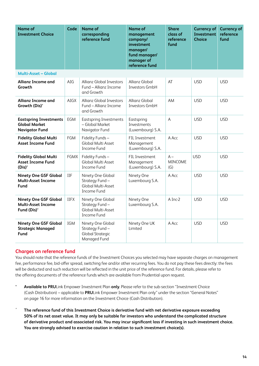| <b>Name of</b><br><b>Investment Choice</b>                                     | Code        | <b>Name of</b><br>corresponding<br>reference fund                              | <b>Name of</b><br>management<br>company/<br>investment<br>manager/<br>fund manager/<br>manager of<br>reference fund | <b>Share</b><br>class of<br>reference<br>fund | <b>Currency of</b><br><b>Investment</b><br><b>Choice</b> | <b>Currency of</b><br>reference<br>fund |
|--------------------------------------------------------------------------------|-------------|--------------------------------------------------------------------------------|---------------------------------------------------------------------------------------------------------------------|-----------------------------------------------|----------------------------------------------------------|-----------------------------------------|
| <b>Multi-Asset - Global</b>                                                    |             |                                                                                |                                                                                                                     |                                               |                                                          |                                         |
| <b>Allianz Income and</b><br>Growth                                            | AIG         | <b>Allianz Global Investors</b><br>Fund - Allianz Income<br>and Growth         | Allianz Global<br>Investors GmbH                                                                                    | AT                                            | <b>USD</b>                                               | <b>USD</b>                              |
| <b>Allianz Income and</b><br>Growth (Dis)*                                     | AIGX        | <b>Allianz Global Investors</b><br>Fund - Allianz Income<br>and Growth         | Allianz Global<br>Investors GmbH                                                                                    | AM                                            | <b>USD</b>                                               | <b>USD</b>                              |
| <b>Eastspring Investments</b><br><b>Global Market</b><br><b>Navigator Fund</b> | EGM         | <b>Eastspring Investments</b><br>- Global Market<br>Navigator Fund             | Eastspring<br>Investments<br>(Luxembourg) S.A.                                                                      | $\overline{A}$                                | <b>USD</b>                                               | <b>USD</b>                              |
| <b>Fidelity Global Multi</b><br><b>Asset Income Fund</b>                       | <b>FGM</b>  | Fidelity Funds-<br>Global Multi Asset<br>Income Fund                           | FIL Investment<br>Management<br>(Luxembourg) S.A.                                                                   | A Acc                                         | <b>USD</b>                                               | <b>USD</b>                              |
| <b>Fidelity Global Multi</b><br><b>Asset Income Fund</b><br>$(Dis)^*$          | <b>FGMX</b> | Fidelity Funds-<br>Global Multi Asset<br><b>Income Fund</b>                    | FIL Investment<br>Management<br>(Luxembourg) S.A.                                                                   | $A -$<br><b>MINCOME</b><br>(G)                | <b>USD</b>                                               | <b>USD</b>                              |
| <b>Ninety One GSF Global</b><br><b>Multi-Asset Income</b><br>Fund              | IIF         | Ninety One Global<br>Strategy Fund-<br>Global Multi-Asset<br>Income Fund       | Ninety One<br>Luxembourg S.A.                                                                                       | A Acc                                         | <b>USD</b>                                               | <b>USD</b>                              |
| <b>Ninety One GSF Global</b><br><b>Multi-Asset Income</b><br>Fund (Dis)*       | <b>IIFX</b> | Ninety One Global<br>Strategy Fund-<br>Global Multi-Asset<br>Income Fund       | Ninety One<br>Luxembourg S.A.                                                                                       | A Inc-2                                       | <b>USD</b>                                               | <b>USD</b>                              |
| <b>Ninety One GSF Global</b><br><b>Strategic Managed</b><br>Fund               | IGM         | Ninety One Global<br>Strategy Fund-<br><b>Global Strategic</b><br>Managed Fund | Ninety One UK<br>Limited                                                                                            | A Acc                                         | <b>USD</b>                                               | <b>USD</b>                              |

### **Charges on reference fund**

You should note that the reference funds of the Investment Choices you selected may have separate charges on management fee, performance fee, bid-offer spread, switching fee and/or other recurring fees. You do not pay these fees directly: the fees will be deducted and such reduction will be reflected in the unit price of the reference fund. For details, please refer to the offering documents of the reference funds which are available from Prudential upon request.

- \* **Available to PRU**Link Empower Investment Plan **only**. Please refer to the sub-section "Investment Choice (Cash Distribution) – applicable to **PRU**Link Empower Investment Plan only" under the section "General Notes" on page 16 for more information on the Investment Choice (Cash Distribution).
- ^ **The reference fund of this Investment Choice is derivative fund with net derivative exposure exceeding 50% of its net asset value. It may only be suitable for investors who understand the complicated structure of derivative product and associated risk. You may incur significant loss if investing in such investment choice. You are strongly advised to exercise caution in relation to such investment choice(s).**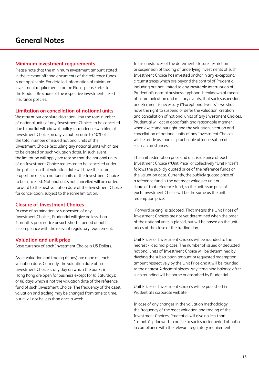#### **Minimum investment requirements**

Please note that the minimum investment amount stated in the relevant offering documents of the reference funds is not applicable. For detailed information of minimum investment requirements for the Plans, please refer to the Product Brochure of the respective investment-linked insurance policies.

#### **Limitation on cancellation of notional units**

We may at our absolute discretion limit the total number of notional units of any Investment Choices to be cancelled due to partial withdrawal, policy surrender or switching of Investment Choice on any valuation date to 10% of the total number of issued notional units of the Investment Choice (excluding any notional units which are to be created on such valuation date). In such event, the limitation will apply pro rata so that the notional units of an Investment Choice requested to be cancelled under the policies on that valuation date will have the same proportion of such notional units of the Investment Choice to be cancelled. Notional units not cancelled will be carried forward to the next valuation date of the Investment Choice for cancellation, subject to the same limitation.

#### **Closure of Investment Choices**

In case of termination or suspension of any Investment Choices, Prudential will give no less than 1 month's prior notice or such shorter period of notice in compliance with the relevant regulatory requirement.

#### **Valuation and unit price**

Base currency of each Investment Choice is US Dollars.

Asset valuation and trading (if any) are done on each valuation date. Currently, the valuation date of an Investment Choice is any day on which the banks in Hong Kong are open for business except for (i) Saturdays; or (ii) days which is not the valuation date of the reference fund of such Investment Choice. The frequency of the asset valuation and trading may be changed from time to time, but it will not be less than once a week.

In circumstances of the deferment, closure, restriction or suspension of trading of underlying investments of such Investment Choice has invested and/or in any exceptional circumstances which are beyond the control of Prudential, including but not limited to any inevitable interruption of Prudential's normal business, typhoon, breakdown of means of communication and military events, that such suspension or deferment is necessary ("Exceptional Events"), we shall have the right to suspend or defer the valuation, creation and cancellation of notional units of any Investment Choices. Prudential will act in good faith and reasonable manner when exercising our right and the valuation, creation and cancellation of notional units of any Investment Choices will be made as soon as practicable after cessation of such circumstances.

The unit redemption price and unit issue price of each Investment Choice ("Unit Price" or collectively "Unit Prices") follows the publicly quoted price of the reference funds on the valuation date. Currently, the publicly quoted price of a reference fund is the net asset value per unit or share of that reference fund, so the unit issue price of each Investment Choice will be the same as the unit redemption price.

"Forward pricing" is adopted. That means the Unit Prices of Investment Choices are not yet determined when the order of the notional units is placed, but will be based on the unit prices at the close of the trading day.

Unit Prices of Investment Choices will be rounded to the nearest 4 decimal places. The number of issued or deducted notional units of Investment Choice will be determined by dividing the subscription amount or requested redemption amount respectively by the Unit Price and it will be rounded to the nearest 4 decimal places. Any remaining balance after such rounding will be borne or absorbed by Prudential.

Unit Prices of Investment Choices will be published in Prudential's corporate website.

In case of any changes in the valuation methodology, the frequency of the asset valuation and trading of the Investment Choices, Prudential will give no less than 1 month's prior written notice or such shorter period of notice in compliance with the relevant regulatory requirement.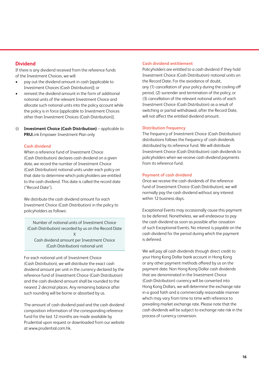## **Dividend**

If there is any dividend received from the reference funds of the Investment Choices, we will:

- pay out the dividend amount in cash [applicable to Investment Choices (Cash Distribution)]; or
- reinvest the dividend amount in the form of additional notional units of the relevant Investment Choice and allocate such notional units into the policy account while the policy is in force [applicable to Investment Choices other than Investment Choices (Cash Distribution)].
- (i) **Investment Choice (Cash Distribution)** applicable to **PRU**Link Empower Investment Plan only

#### **Cash dividend**

When a reference fund of Investment Choice (Cash Distribution) declares cash dividend on a given date, we record the number of Investment Choice (Cash Distribution) notional units under each policy on that date to determine which policyholders are entitled to the cash dividend. This date is called the record date ("Record Date").

We distribute the cash dividend amount for each Investment Choice (Cash Distribution) in the policy to policyholders as follows:

Number of notional units of Investment Choice (Cash Distribution) recorded by us on the Record Date X Cash dividend amount per Investment Choice (Cash Distribution) notional unit

For each notional unit of Investment Choice (Cash Distribution), we will distribute the exact cash dividend amount per unit in the currency declared by the reference fund of Investment Choice (Cash Distribution) and the cash dividend amount shall be rounded to the nearest 2 decimal places. Any remaining balance after such rounding will be borne or absorbed by us.

The amount of cash dividend paid and the cash dividend composition information of the corresponding reference fund for the last 12 months are made available by Prudential upon request or downloaded from our website at [www.prudential.com.hk.](https://www.prudential.com.hk/en/index.html)

#### **Cash dividend entitlement**

Policyholders are entitled to a cash dividend if they hold Investment Choice (Cash Distribution) notional units on the Record Date. For the avoidance of doubt, any (1) cancellation of your policy during the cooling-off period, (2) surrender and termination of the policy, or (3) cancellation of the relevant notional units of each Investment Choice (Cash Distribution) as a result of switching or partial withdrawal, after the Record Date, will not affect the entitled dividend amount.

#### **Distribution frequency**

The frequency of Investment Choice (Cash Distribution) distributions follows the frequency of cash dividends distributed by its reference fund. We will distribute Investment Choice (Cash Distribution) cash dividends to policyholders when we receive cash dividend payments from its reference fund.

#### **Payment of cash dividend**

Once we receive the cash dividends of the reference fund of Investment Choice (Cash Distribution), we will normally pay the cash dividend without any interest within 12 business days.

Exceptional Events may occasionally cause this payment to be deferred. Nonetheless, we will endeavour to pay the cash dividend as soon as possible after cessation of such Exceptional Events. No interest is payable on the cash dividend for the period during which the payment is deferred.

We will pay all cash dividends through direct credit to your Hong Kong Dollar bank account in Hong Kong or any other payment methods offered by us on the payment date. Non Hong Kong Dollar cash dividends that are denominated in the Investment Choice (Cash Distribution) currency will be converted into Hong Kong Dollars, we will determine the exchange rate in a good faith and a commercially reasonable manner which may vary from time to time with reference to prevailing market exchange rate. Please note that the cash dividends will be subject to exchange rate risk in the process of currency conversion.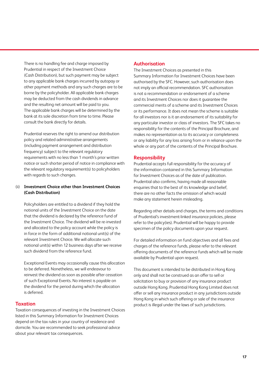There is no handling fee and charge imposed by Prudential in respect of the Investment Choice (Cash Distribution), but such payment may be subject to any applicable bank charges incurred by autopay or other payment methods and any such charges are to be borne by the policyholder. All applicable bank charges may be deducted from the cash dividends in advance and the resulting net amount will be paid to you. The applicable bank charges will be determined by the bank at its sole discretion from time to time. Please consult the bank directly for details.

Prudential reserves the right to amend our distribution policy and related administrative arrangements (including payment arrangement and distribution frequency) subject to the relevant regulatory requirements with no less than 1 month's prior written notice or such shorter period of notice in compliance with the relevant regulatory requirement(s) to policyholders with regards to such changes.

#### (ii) **Investment Choice other than Investment Choices (Cash Distribution)**

Policyholders are entitled to a dividend if they hold the notional units of the Investment Choice on the date that the dividend is declared by the reference fund of the Investment Choice. The dividend will be re-invested and allocated to the policy account while the policy is in force in the form of additional notional unit(s) of the relevant Investment Choice. We will allocate such notional unit(s) within 12 business days after we receive such dividend from the reference fund.

Exceptional Events may occasionally cause this allocation to be deferred. Nonetheless, we will endeavour to reinvest the dividend as soon as possible after cessation of such Exceptional Events. No interest is payable on the dividend for the period during which the allocation is deferred.

#### **Taxation**

Taxation consequences of investing in the Investment Choices listed in this Summary Information for Investment Choices depend on the tax rules in your country of residence and domicile. You are recommended to seek professional advice about your relevant tax consequences.

### **Authorisation**

The Investment Choices as presented in this Summary Information for Investment Choices have been authorised by the SFC. However, such authorisation does not imply an official recommendation. SFC authorisation is not a recommendation or endorsement of a scheme and its Investment Choices nor does it guarantee the commercial merits of a scheme and its Investment Choices or its performance. It does not mean the scheme is suitable for all investors nor is it an endorsement of its suitability for any particular investor or class of investors. The SFC takes no responsibility for the contents of the Principal Brochure, and makes no representation as to its accuracy or completeness or any liability for any loss arising from or in reliance upon the whole or any part of the contents of the Principal Brochure.

#### **Responsibility**

Prudential accepts full responsibility for the accuracy of the information contained in this Summary Information for Investment Choices as of the date of publication. Prudential also confirms, having made all reasonable enquiries that to the best of its knowledge and belief, there are no other facts the omission of which would make any statement herein misleading.

Regarding other details and charges, the terms and conditions of Prudential's investment-linked insurance policies, please refer to the policy(ies). Prudential will be happy to provide specimen of the policy documents upon your request.

For detailed information on fund objectives and all fees and charges of the reference funds, please refer to the relevant offering documents of the reference funds which will be made available by Prudential upon request.

This document is intended to be distributed in Hong Kong only and shall not be construed as an offer to sell or solicitation to buy or provision of any insurance product outside Hong Kong. Prudential Hong Kong Limited does not offer or sell any insurance product in any jurisdictions outside Hong Kong in which such offering or sale of the insurance product is illegal under the laws of such jurisdictions.